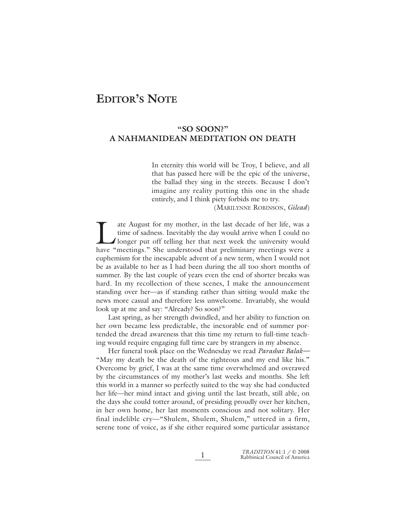# **EDITOR'S NOTE**

# **"SO SOON?" A NAHMANIDEAN MEDITATION ON DEATH**

In eternity this world will be Troy, I believe, and all that has passed here will be the epic of the universe, the ballad they sing in the streets. Because I don't imagine any reality putting this one in the shade entirely, and I think piety forbids me to try.

(MARILYNNE ROBINSON, *Gilead*)

If the August for my mother, in the last decade of her life, was a time of sadness. Inevitably the day would arrive when I could no longer put off telling her that next week the university would have "meetings." She unders time of sadness. Inevitably the day would arrive when I could no longer put off telling her that next week the university would have "meetings." She understood that preliminary meetings were a euphemism for the inescapable advent of a new term, when I would not be as available to her as I had been during the all too short months of summer. By the last couple of years even the end of shorter breaks was hard. In my recollection of these scenes, I make the announcement standing over her—as if standing rather than sitting would make the news more casual and therefore less unwelcome. Invariably, she would look up at me and say: "Already? So soon?"

Last spring, as her strength dwindled, and her ability to function on her own became less predictable, the inexorable end of summer portended the dread awareness that this time my return to full-time teaching would require engaging full time care by strangers in my absence.

Her funeral took place on the Wednesday we read *Parashat Balak—* "May my death be the death of the righteous and my end like his." Overcome by grief, I was at the same time overwhelmed and overawed by the circumstances of my mother's last weeks and months. She left this world in a manner so perfectly suited to the way she had conducted her life—her mind intact and giving until the last breath, still able, on the days she could totter around, of presiding proudly over her kitchen, in her own home, her last moments conscious and not solitary. Her final indelible cry—"Shulem, Shulem, Shulem," uttered in a firm, serene tone of voice, as if she either required some particular assistance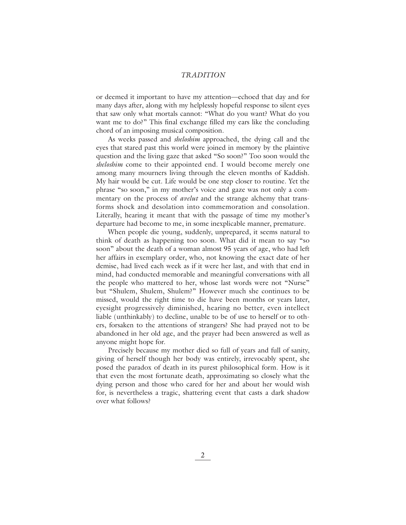## *TRADITION*

or deemed it important to have my attention—echoed that day and for many days after, along with my helplessly hopeful response to silent eyes that saw only what mortals cannot: "What do you want? What do you want me to do?" This final exchange filled my ears like the concluding chord of an imposing musical composition.

As weeks passed and *sheloshim* approached, the dying call and the eyes that stared past this world were joined in memory by the plaintive question and the living gaze that asked "So soon?" Too soon would the *sheloshim* come to their appointed end. I would become merely one among many mourners living through the eleven months of Kaddish. My hair would be cut. Life would be one step closer to routine. Yet the phrase "so soon," in my mother's voice and gaze was not only a commentary on the process of *avelut* and the strange alchemy that transforms shock and desolation into commemoration and consolation. Literally, hearing it meant that with the passage of time my mother's departure had become to me, in some inexplicable manner, premature.

When people die young, suddenly, unprepared, it seems natural to think of death as happening too soon. What did it mean to say "so soon" about the death of a woman almost 95 years of age, who had left her affairs in exemplary order, who, not knowing the exact date of her demise, had lived each week as if it were her last, and with that end in mind, had conducted memorable and meaningful conversations with all the people who mattered to her, whose last words were not "Nurse" but "Shulem, Shulem, Shulem?" However much she continues to be missed, would the right time to die have been months or years later, eyesight progressively diminished, hearing no better, even intellect liable (unthinkably) to decline, unable to be of use to herself or to others, forsaken to the attentions of strangers? She had prayed not to be abandoned in her old age, and the prayer had been answered as well as anyone might hope for.

Precisely because my mother died so full of years and full of sanity, giving of herself though her body was entirely, irrevocably spent, she posed the paradox of death in its purest philosophical form. How is it that even the most fortunate death, approximating so closely what the dying person and those who cared for her and about her would wish for, is nevertheless a tragic, shattering event that casts a dark shadow over what follows?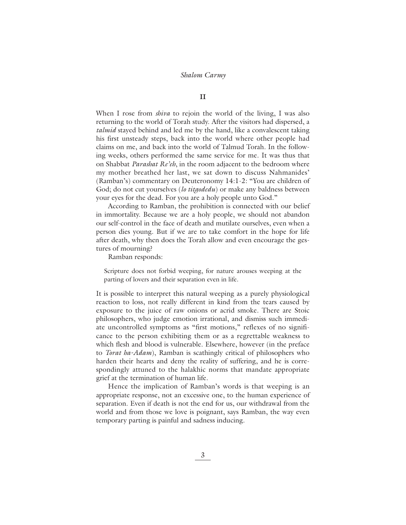#### *Shalom Carmy*

#### **II**

When I rose from *shiva* to rejoin the world of the living, I was also returning to the world of Torah study. After the visitors had dispersed, a *talmid* stayed behind and led me by the hand, like a convalescent taking his first unsteady steps, back into the world where other people had claims on me, and back into the world of Talmud Torah. In the following weeks, others performed the same service for me. It was thus that on Shabbat *Parashat Re'eh*, in the room adjacent to the bedroom where my mother breathed her last, we sat down to discuss Nahmanides' (Ramban's) commentary on Deuteronomy 14:1-2: "You are children of God; do not cut yourselves (*lo titgodedu*) or make any baldness between your eyes for the dead. For you are a holy people unto God."

According to Ramban, the prohibition is connected with our belief in immortality. Because we are a holy people, we should not abandon our self-control in the face of death and mutilate ourselves, even when a person dies young. But if we are to take comfort in the hope for life after death, why then does the Torah allow and even encourage the gestures of mourning?

Ramban responds:

Scripture does not forbid weeping, for nature arouses weeping at the parting of lovers and their separation even in life.

It is possible to interpret this natural weeping as a purely physiological reaction to loss, not really different in kind from the tears caused by exposure to the juice of raw onions or acrid smoke. There are Stoic philosophers, who judge emotion irrational, and dismiss such immediate uncontrolled symptoms as "first motions," reflexes of no significance to the person exhibiting them or as a regrettable weakness to which flesh and blood is vulnerable. Elsewhere, however (in the preface to *Torat ha-Adam*), Ramban is scathingly critical of philosophers who harden their hearts and deny the reality of suffering, and he is correspondingly attuned to the halakhic norms that mandate appropriate grief at the termination of human life.

Hence the implication of Ramban's words is that weeping is an appropriate response, not an excessive one, to the human experience of separation. Even if death is not the end for us, our withdrawal from the world and from those we love is poignant, says Ramban, the way even temporary parting is painful and sadness inducing.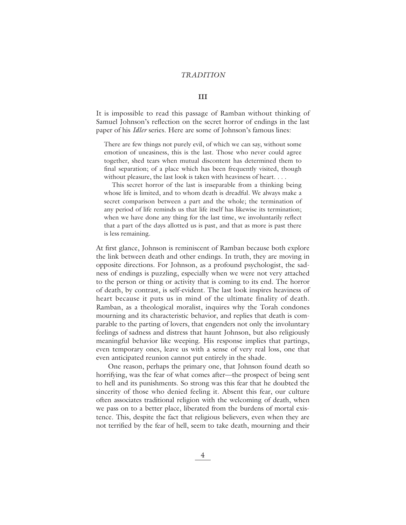## *TRADITION*

## **III**

It is impossible to read this passage of Ramban without thinking of Samuel Johnson's reflection on the secret horror of endings in the last paper of his *Idler* series. Here are some of Johnson's famous lines:

There are few things not purely evil, of which we can say, without some emotion of uneasiness, this is the last. Those who never could agree together, shed tears when mutual discontent has determined them to final separation; of a place which has been frequently visited, though without pleasure, the last look is taken with heaviness of heart....

This secret horror of the last is inseparable from a thinking being whose life is limited, and to whom death is dreadful. We always make a secret comparison between a part and the whole; the termination of any period of life reminds us that life itself has likewise its termination; when we have done any thing for the last time, we involuntarily reflect that a part of the days allotted us is past, and that as more is past there is less remaining.

At first glance, Johnson is reminiscent of Ramban because both explore the link between death and other endings. In truth, they are moving in opposite directions. For Johnson, as a profound psychologist, the sadness of endings is puzzling, especially when we were not very attached to the person or thing or activity that is coming to its end. The horror of death, by contrast, is self-evident. The last look inspires heaviness of heart because it puts us in mind of the ultimate finality of death. Ramban, as a theological moralist, inquires why the Torah condones mourning and its characteristic behavior, and replies that death is comparable to the parting of lovers, that engenders not only the involuntary feelings of sadness and distress that haunt Johnson, but also religiously meaningful behavior like weeping. His response implies that partings, even temporary ones, leave us with a sense of very real loss, one that even anticipated reunion cannot put entirely in the shade.

One reason, perhaps the primary one, that Johnson found death so horrifying, was the fear of what comes after—the prospect of being sent to hell and its punishments. So strong was this fear that he doubted the sincerity of those who denied feeling it. Absent this fear, our culture often associates traditional religion with the welcoming of death, when we pass on to a better place, liberated from the burdens of mortal existence. This, despite the fact that religious believers, even when they are not terrified by the fear of hell, seem to take death, mourning and their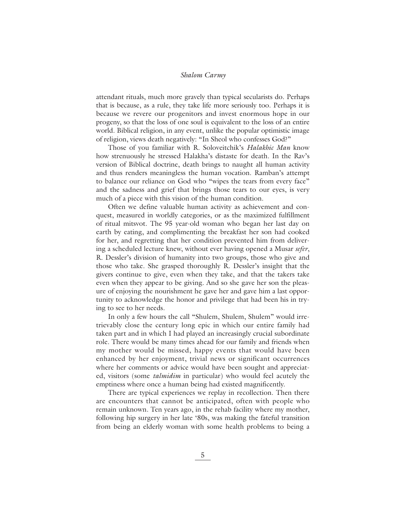#### *Shalom Carmy*

attendant rituals, much more gravely than typical secularists do. Perhaps that is because, as a rule, they take life more seriously too. Perhaps it is because we revere our progenitors and invest enormous hope in our progeny, so that the loss of one soul is equivalent to the loss of an entire world. Biblical religion, in any event, unlike the popular optimistic image of religion, views death negatively: "In Sheol who confesses God?"

Those of you familiar with R. Soloveitchik's *Halakhic Man* know how strenuously he stressed Halakha's distaste for death. In the Rav's version of Biblical doctrine, death brings to naught all human activity and thus renders meaningless the human vocation. Ramban's attempt to balance our reliance on God who "wipes the tears from every face" and the sadness and grief that brings those tears to our eyes, is very much of a piece with this vision of the human condition.

Often we define valuable human activity as achievement and conquest, measured in worldly categories, or as the maximized fulfillment of ritual mitsvot. The 95 year-old woman who began her last day on earth by eating, and complimenting the breakfast her son had cooked for her, and regretting that her condition prevented him from delivering a scheduled lecture knew, without ever having opened a Musar *sefer*, R. Dessler's division of humanity into two groups, those who give and those who take. She grasped thoroughly R. Dessler's insight that the givers continue to give, even when they take, and that the takers take even when they appear to be giving. And so she gave her son the pleasure of enjoying the nourishment he gave her and gave him a last opportunity to acknowledge the honor and privilege that had been his in trying to see to her needs.

In only a few hours the call "Shulem, Shulem, Shulem" would irretrievably close the century long epic in which our entire family had taken part and in which I had played an increasingly crucial subordinate role. There would be many times ahead for our family and friends when my mother would be missed, happy events that would have been enhanced by her enjoyment, trivial news or significant occurrences where her comments or advice would have been sought and appreciated, visitors (some *talmidim* in particular) who would feel acutely the emptiness where once a human being had existed magnificently.

There are typical experiences we replay in recollection. Then there are encounters that cannot be anticipated, often with people who remain unknown. Ten years ago, in the rehab facility where my mother, following hip surgery in her late '80s, was making the fateful transition from being an elderly woman with some health problems to being a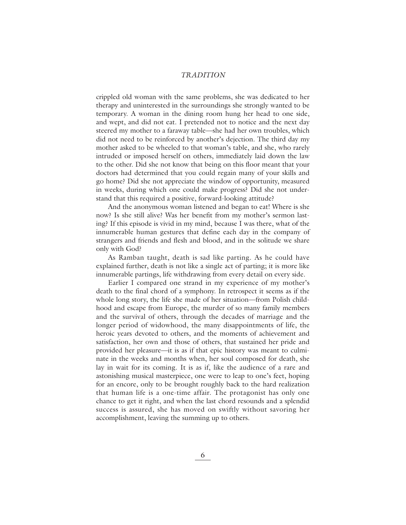## *TRADITION*

crippled old woman with the same problems, she was dedicated to her therapy and uninterested in the surroundings she strongly wanted to be temporary. A woman in the dining room hung her head to one side, and wept, and did not eat. I pretended not to notice and the next day steered my mother to a faraway table—she had her own troubles, which did not need to be reinforced by another's dejection. The third day my mother asked to be wheeled to that woman's table, and she, who rarely intruded or imposed herself on others, immediately laid down the law to the other. Did she not know that being on this floor meant that your doctors had determined that you could regain many of your skills and go home? Did she not appreciate the window of opportunity, measured in weeks, during which one could make progress? Did she not understand that this required a positive, forward-looking attitude?

And the anonymous woman listened and began to eat! Where is she now? Is she still alive? Was her benefit from my mother's sermon lasting? If this episode is vivid in my mind, because I was there, what of the innumerable human gestures that define each day in the company of strangers and friends and flesh and blood, and in the solitude we share only with God?

As Ramban taught, death is sad like parting. As he could have explained further, death is not like a single act of parting; it is more like innumerable partings, life withdrawing from every detail on every side.

Earlier I compared one strand in my experience of my mother's death to the final chord of a symphony. In retrospect it seems as if the whole long story, the life she made of her situation—from Polish childhood and escape from Europe, the murder of so many family members and the survival of others, through the decades of marriage and the longer period of widowhood, the many disappointments of life, the heroic years devoted to others, and the moments of achievement and satisfaction, her own and those of others, that sustained her pride and provided her pleasure—it is as if that epic history was meant to culminate in the weeks and months when, her soul composed for death, she lay in wait for its coming. It is as if, like the audience of a rare and astonishing musical masterpiece, one were to leap to one's feet, hoping for an encore, only to be brought roughly back to the hard realization that human life is a one-time affair. The protagonist has only one chance to get it right, and when the last chord resounds and a splendid success is assured, she has moved on swiftly without savoring her accomplishment, leaving the summing up to others.